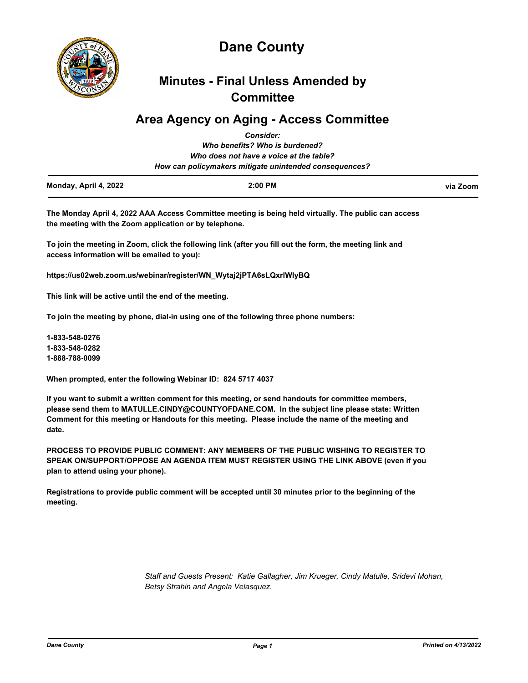

# **Dane County**

## **Minutes - Final Unless Amended by Committee**

### **Area Agency on Aging - Access Committee**

| Monday, April 4, 2022 | $2:00$ PM                                              | via Zoom |
|-----------------------|--------------------------------------------------------|----------|
|                       | How can policymakers mitigate unintended consequences? |          |
|                       | Who does not have a voice at the table?                |          |
|                       | Who benefits? Who is burdened?                         |          |
|                       | <b>Consider:</b>                                       |          |

**The Monday April 4, 2022 AAA Access Committee meeting is being held virtually. The public can access the meeting with the Zoom application or by telephone.** 

**To join the meeting in Zoom, click the following link (after you fill out the form, the meeting link and access information will be emailed to you):** 

**https://us02web.zoom.us/webinar/register/WN\_Wytaj2jPTA6sLQxrlWIyBQ**

**This link will be active until the end of the meeting.** 

**To join the meeting by phone, dial-in using one of the following three phone numbers:** 

**1-833-548-0276 1-833-548-0282 1-888-788-0099**

**When prompted, enter the following Webinar ID: 824 5717 4037**

**If you want to submit a written comment for this meeting, or send handouts for committee members, please send them to MATULLE.CINDY@COUNTYOFDANE.COM. In the subject line please state: Written Comment for this meeting or Handouts for this meeting. Please include the name of the meeting and date.**

**PROCESS TO PROVIDE PUBLIC COMMENT: ANY MEMBERS OF THE PUBLIC WISHING TO REGISTER TO SPEAK ON/SUPPORT/OPPOSE AN AGENDA ITEM MUST REGISTER USING THE LINK ABOVE (even if you plan to attend using your phone).** 

**Registrations to provide public comment will be accepted until 30 minutes prior to the beginning of the meeting.**

> *Staff and Guests Present: Katie Gallagher, Jim Krueger, Cindy Matulle, Sridevi Mohan, Betsy Strahin and Angela Velasquez.*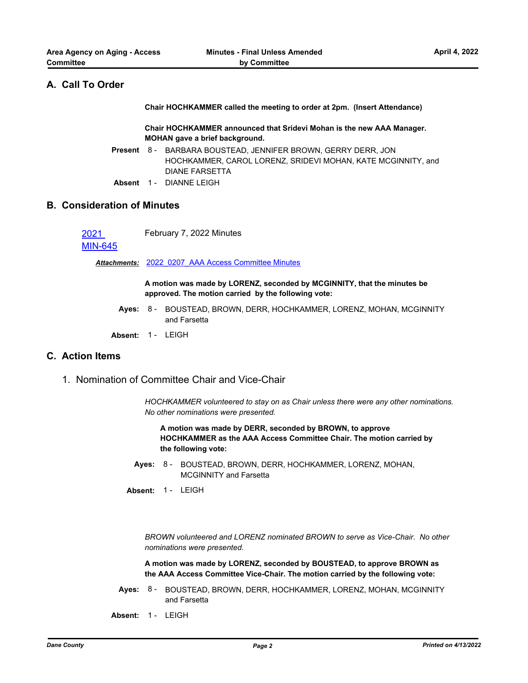### **A. Call To Order**

**Chair HOCHKAMMER called the meeting to order at 2pm. (Insert Attendance)**

**Chair HOCHKAMMER announced that Sridevi Mohan is the new AAA Manager. MOHAN gave a brief background.**

- Present 8 BARBARA BOUSTEAD, JENNIFER BROWN, GERRY DERR, JON HOCHKAMMER, CAROL LORENZ, SRIDEVI MOHAN, KATE MCGINNITY, and DIANE FARSETTA
- **Absent** 1 DIANNE LEIGH

#### **B. Consideration of Minutes**

2021 February 7, 2022 Minutes

#### [MIN-645](http://dane.legistar.com/gateway.aspx?m=l&id=/matter.aspx?key=22322)

*Attachments:* [2022\\_0207\\_AAA Access Committee Minutes](http://dane.legistar.com/gateway.aspx?M=F&ID=9457e19c-5345-4017-b4c6-f3cd8be88b54.pdf)

**A motion was made by LORENZ, seconded by MCGINNITY, that the minutes be approved. The motion carried by the following vote:**

**Ayes:** BOUSTEAD, BROWN, DERR, HOCHKAMMER, LORENZ, MOHAN, MCGINNITY 8 and Farsetta

**Absent:** 1 - LEIGH

#### **C. Action Items**

1. Nomination of Committee Chair and Vice-Chair

*HOCHKAMMER volunteered to stay on as Chair unless there were any other nominations. No other nominations were presented.*

**A motion was made by DERR, seconded by BROWN, to approve HOCHKAMMER as the AAA Access Committee Chair. The motion carried by the following vote:**

Ayes: 8 - BOUSTEAD, BROWN, DERR, HOCHKAMMER, LORENZ, MOHAN, MCGINNITY and Farsetta

**Absent:** 1 - LEIGH

*BROWN volunteered and LORENZ nominated BROWN to serve as Vice-Chair. No other nominations were presented.*

**A motion was made by LORENZ, seconded by BOUSTEAD, to approve BROWN as the AAA Access Committee Vice-Chair. The motion carried by the following vote:**

- **Ayes:** BOUSTEAD, BROWN, DERR, HOCHKAMMER, LORENZ, MOHAN, MCGINNITY 8 and Farsetta
- **Absent:** 1 LEIGH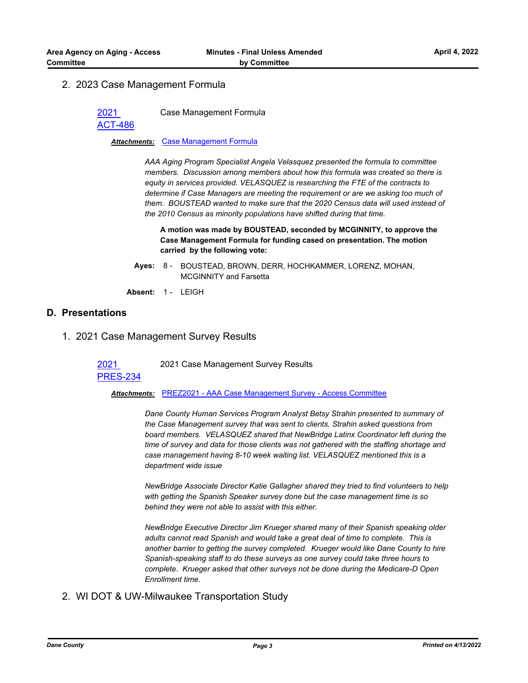#### 2. 2023 Case Management Formula

2021

Case Management Formula

[ACT-486](http://dane.legistar.com/gateway.aspx?m=l&id=/matter.aspx?key=22384)

*Attachments:* [Case Management Formula](http://dane.legistar.com/gateway.aspx?M=F&ID=c2c33891-f902-49ef-934e-d0b02ddb2c7d.docx)

*AAA Aging Program Specialist Angela Velasquez presented the formula to committee members. Discussion among members about how this formula was created so there is equity in services provided. VELASQUEZ is researching the FTE of the contracts to determine if Case Managers are meeting the requirement or are we asking too much of them. BOUSTEAD wanted to make sure that the 2020 Census data will used instead of the 2010 Census as minority populations have shifted during that time.*

**A motion was made by BOUSTEAD, seconded by MCGINNITY, to approve the Case Management Formula for funding cased on presentation. The motion carried by the following vote:**

- **Ayes:** BOUSTEAD, BROWN, DERR, HOCHKAMMER, LORENZ, MOHAN, MCGINNITY and Farsetta Ayes:  $8 -$
- **Absent:** 1 LEIGH

#### **D. Presentations**

1. 2021 Case Management Survey Results

2021 2021 Case Management Survey Results

### [PRES-234](http://dane.legistar.com/gateway.aspx?m=l&id=/matter.aspx?key=22320)

*Attachments:* [PREZ2021 - AAA Case Management Survey - Access Committee](http://dane.legistar.com/gateway.aspx?M=F&ID=e87ea60e-49fb-403e-8ca3-836474abf094.pptx)

*Dane County Human Services Program Analyst Betsy Strahin presented to summary of the Case Management survey that was sent to clients. Strahin asked questions from board members. VELASQUEZ shared that NewBridge Latinx Coordinator left during the time of survey and data for those clients was not gathered with the staffing shortage and case management having 8-10 week waiting list. VELASQUEZ mentioned this is a department wide issue* 

*NewBridge Associate Director Katie Gallagher shared they tried to find volunteers to help with getting the Spanish Speaker survey done but the case management time is so behind they were not able to assist with this either.*

*NewBridge Executive Director Jim Krueger shared many of their Spanish speaking older adults cannot read Spanish and would take a great deal of time to complete. This is another barrier to getting the survey completed. Krueger would like Dane County to hire Spanish-speaking staff to do these surveys as one survey could take three hours to complete. Krueger asked that other surveys not be done during the Medicare-D Open Enrollment time.*

#### 2. WI DOT & UW-Milwaukee Transportation Study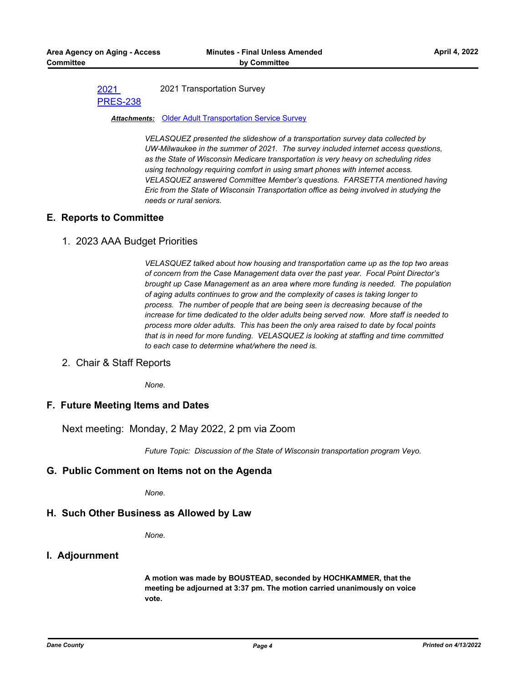#### 2021 [PRES-238](http://dane.legistar.com/gateway.aspx?m=l&id=/matter.aspx?key=22352) 2021 Transportation Survey

#### *Attachments:* [Older Adult Transportation Service Survey](http://dane.legistar.com/gateway.aspx?M=F&ID=7c053b60-c9c9-456c-8465-4eabb55a9dc1.pptx)

*VELASQUEZ presented the slideshow of a transportation survey data collected by UW-Milwaukee in the summer of 2021. The survey included internet access questions, as the State of Wisconsin Medicare transportation is very heavy on scheduling rides using technology requiring comfort in using smart phones with internet access. VELASQUEZ answered Committee Member's questions. FARSETTA mentioned having Eric from the State of Wisconsin Transportation office as being involved in studying the needs or rural seniors.*

#### **E. Reports to Committee**

#### 1. 2023 AAA Budget Priorities

*VELASQUEZ talked about how housing and transportation came up as the top two areas of concern from the Case Management data over the past year. Focal Point Director's brought up Case Management as an area where more funding is needed. The population of aging adults continues to grow and the complexity of cases is taking longer to process. The number of people that are being seen is decreasing because of the increase for time dedicated to the older adults being served now. More staff is needed to process more older adults. This has been the only area raised to date by focal points that is in need for more funding. VELASQUEZ is looking at staffing and time committed to each case to determine what/where the need is.*

2. Chair & Staff Reports

*None.*

#### **F. Future Meeting Items and Dates**

Next meeting: Monday, 2 May 2022, 2 pm via Zoom

*Future Topic: Discussion of the State of Wisconsin transportation program Veyo.*

#### **G. Public Comment on Items not on the Agenda**

*None.*

#### **H. Such Other Business as Allowed by Law**

*None.*

#### **I. Adjournment**

**A motion was made by BOUSTEAD, seconded by HOCHKAMMER, that the meeting be adjourned at 3:37 pm. The motion carried unanimously on voice vote.**